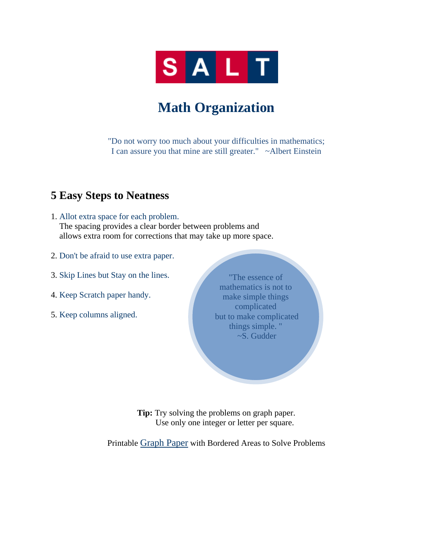

# **Math Organization**

"Do not worry too much about your difficulties in mathematics; I can assure you that mine are still greater." ~Albert Einstein

#### **5 Easy Steps to Neatness**

1. Allot extra space for each problem.

 The spacing provides a clear border between problems and allows extra room for corrections that may take up more space.

- 2. Don't be afraid to use extra paper.
- 3. Skip Lines but Stay on the lines.
- 4. Keep Scratch paper handy.
- 5. Keep columns aligned.

"The essence of mathematics is not to make simple things complicated but to make complicated things simple. " ~S. Gudder

**Tip:** Try solving the problems on graph paper. Use only one integer or letter per square.

Printable Graph Paper with Bordered Areas to Solve Problems